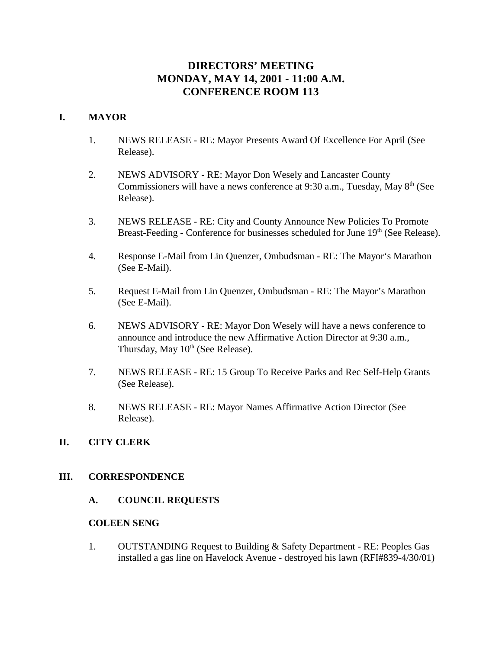# **DIRECTORS' MEETING MONDAY, MAY 14, 2001 - 11:00 A.M. CONFERENCE ROOM 113**

# **I. MAYOR**

- 1. NEWS RELEASE RE: Mayor Presents Award Of Excellence For April (See Release).
- 2. NEWS ADVISORY RE: Mayor Don Wesely and Lancaster County Commissioners will have a news conference at 9:30 a.m., Tuesday, May  $8<sup>th</sup>$  (See Release).
- 3. NEWS RELEASE RE: City and County Announce New Policies To Promote Breast-Feeding - Conference for businesses scheduled for June 19<sup>th</sup> (See Release).
- 4. Response E-Mail from Lin Quenzer, Ombudsman RE: The Mayor's Marathon (See E-Mail).
- 5. Request E-Mail from Lin Quenzer, Ombudsman RE: The Mayor's Marathon (See E-Mail).
- 6. NEWS ADVISORY RE: Mayor Don Wesely will have a news conference to announce and introduce the new Affirmative Action Director at 9:30 a.m., Thursday, May  $10^{th}$  (See Release).
- 7. NEWS RELEASE RE: 15 Group To Receive Parks and Rec Self-Help Grants (See Release).
- 8. NEWS RELEASE RE: Mayor Names Affirmative Action Director (See Release).

# **II. CITY CLERK**

### **III. CORRESPONDENCE**

**A. COUNCIL REQUESTS**

### **COLEEN SENG**

1. OUTSTANDING Request to Building & Safety Department - RE: Peoples Gas installed a gas line on Havelock Avenue - destroyed his lawn (RFI#839-4/30/01)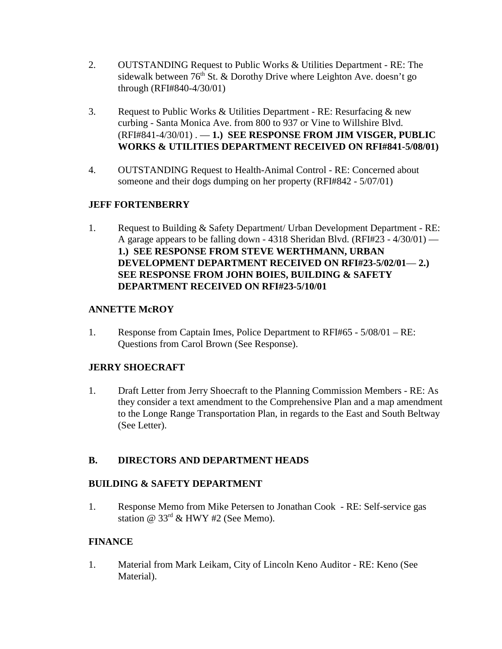- 2. OUTSTANDING Request to Public Works & Utilities Department RE: The sidewalk between  $76<sup>th</sup>$  St. & Dorothy Drive where Leighton Ave. doesn't go through (RFI#840-4/30/01)
- 3. Request to Public Works & Utilities Department RE: Resurfacing  $\&$  new curbing - Santa Monica Ave. from 800 to 937 or Vine to Willshire Blvd. (RFI#841-4/30/01) . — **1.) SEE RESPONSE FROM JIM VISGER, PUBLIC WORKS & UTILITIES DEPARTMENT RECEIVED ON RFI#841-5/08/01)**
- 4. OUTSTANDING Request to Health-Animal Control RE: Concerned about someone and their dogs dumping on her property (RFI#842 - 5/07/01)

# **JEFF FORTENBERRY**

1. Request to Building & Safety Department/ Urban Development Department - RE: A garage appears to be falling down - 4318 Sheridan Blvd. (RFI#23 -  $4/30/01$ ) — **1.) SEE RESPONSE FROM STEVE WERTHMANN, URBAN DEVELOPMENT DEPARTMENT RECEIVED ON RFI#23-5/02/01**— **2.) SEE RESPONSE FROM JOHN BOIES, BUILDING & SAFETY DEPARTMENT RECEIVED ON RFI#23-5/10/01** 

# **ANNETTE McROY**

1. Response from Captain Imes, Police Department to RFI#65 - 5/08/01 – RE: Questions from Carol Brown (See Response).

# **JERRY SHOECRAFT**

1. Draft Letter from Jerry Shoecraft to the Planning Commission Members - RE: As they consider a text amendment to the Comprehensive Plan and a map amendment to the Longe Range Transportation Plan, in regards to the East and South Beltway (See Letter).

# **B. DIRECTORS AND DEPARTMENT HEADS**

# **BUILDING & SAFETY DEPARTMENT**

1. Response Memo from Mike Petersen to Jonathan Cook - RE: Self-service gas station @ 33rd & HWY #2 (See Memo).

# **FINANCE**

1. Material from Mark Leikam, City of Lincoln Keno Auditor - RE: Keno (See Material).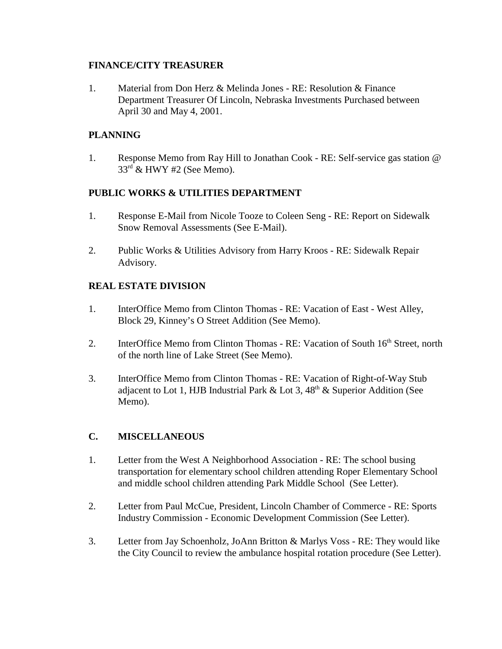## **FINANCE/CITY TREASURER**

1. Material from Don Herz & Melinda Jones - RE: Resolution & Finance Department Treasurer Of Lincoln, Nebraska Investments Purchased between April 30 and May 4, 2001.

# **PLANNING**

1. Response Memo from Ray Hill to Jonathan Cook - RE: Self-service gas station @  $33<sup>rd</sup>$  & HWY #2 (See Memo).

## **PUBLIC WORKS & UTILITIES DEPARTMENT**

- 1. Response E-Mail from Nicole Tooze to Coleen Seng RE: Report on Sidewalk Snow Removal Assessments (See E-Mail).
- 2. Public Works & Utilities Advisory from Harry Kroos RE: Sidewalk Repair Advisory.

# **REAL ESTATE DIVISION**

- 1. InterOffice Memo from Clinton Thomas RE: Vacation of East West Alley, Block 29, Kinney's O Street Addition (See Memo).
- 2. InterOffice Memo from Clinton Thomas RE: Vacation of South 16<sup>th</sup> Street, north of the north line of Lake Street (See Memo).
- 3. InterOffice Memo from Clinton Thomas RE: Vacation of Right-of-Way Stub adjacent to Lot 1, HJB Industrial Park  $&$  Lot 3, 48<sup>th</sup>  $&$  Superior Addition (See Memo).

# **C. MISCELLANEOUS**

- 1. Letter from the West A Neighborhood Association RE: The school busing transportation for elementary school children attending Roper Elementary School and middle school children attending Park Middle School (See Letter).
- 2. Letter from Paul McCue, President, Lincoln Chamber of Commerce RE: Sports Industry Commission - Economic Development Commission (See Letter).
- 3. Letter from Jay Schoenholz, JoAnn Britton & Marlys Voss RE: They would like the City Council to review the ambulance hospital rotation procedure (See Letter).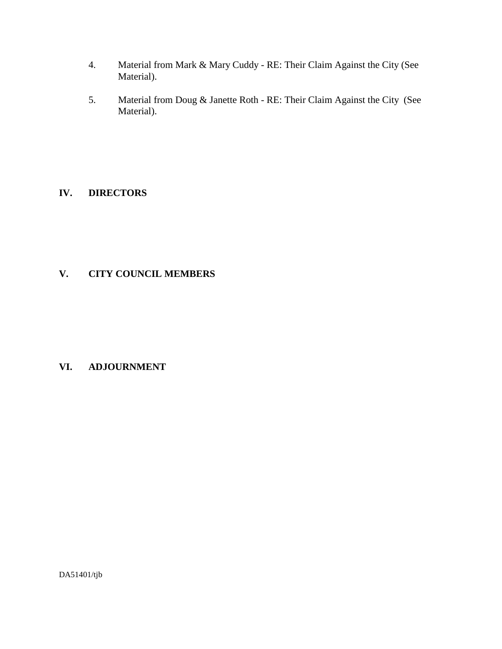- 4. Material from Mark & Mary Cuddy RE: Their Claim Against the City (See Material).
- 5. Material from Doug & Janette Roth RE: Their Claim Against the City (See Material).

# **IV. DIRECTORS**

# **V. CITY COUNCIL MEMBERS**

# **VI. ADJOURNMENT**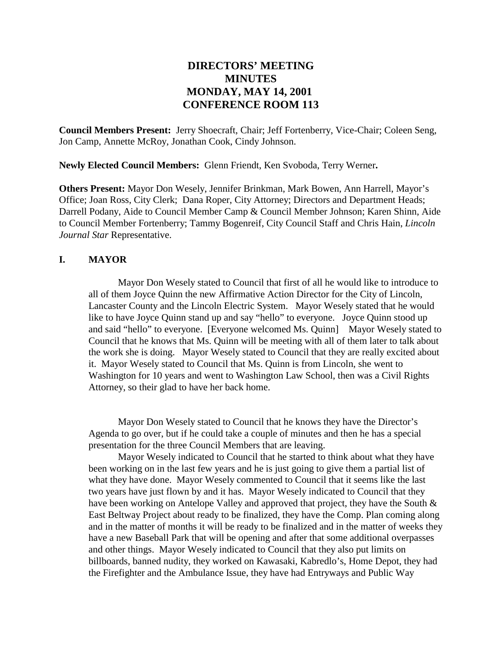# **DIRECTORS' MEETING MINUTES MONDAY, MAY 14, 2001 CONFERENCE ROOM 113**

**Council Members Present:** Jerry Shoecraft, Chair; Jeff Fortenberry, Vice-Chair; Coleen Seng, Jon Camp, Annette McRoy, Jonathan Cook, Cindy Johnson.

**Newly Elected Council Members:** Glenn Friendt, Ken Svoboda, Terry Werner**.** 

**Others Present:** Mayor Don Wesely, Jennifer Brinkman, Mark Bowen, Ann Harrell, Mayor's Office; Joan Ross, City Clerk; Dana Roper, City Attorney; Directors and Department Heads; Darrell Podany, Aide to Council Member Camp & Council Member Johnson; Karen Shinn, Aide to Council Member Fortenberry; Tammy Bogenreif, City Council Staff and Chris Hain, *Lincoln Journal Star* Representative.

## **I. MAYOR**

Mayor Don Wesely stated to Council that first of all he would like to introduce to all of them Joyce Quinn the new Affirmative Action Director for the City of Lincoln, Lancaster County and the Lincoln Electric System. Mayor Wesely stated that he would like to have Joyce Quinn stand up and say "hello" to everyone. Joyce Quinn stood up and said "hello" to everyone. [Everyone welcomed Ms. Quinn] Mayor Wesely stated to Council that he knows that Ms. Quinn will be meeting with all of them later to talk about the work she is doing. Mayor Wesely stated to Council that they are really excited about it. Mayor Wesely stated to Council that Ms. Quinn is from Lincoln, she went to Washington for 10 years and went to Washington Law School, then was a Civil Rights Attorney, so their glad to have her back home.

Mayor Don Wesely stated to Council that he knows they have the Director's Agenda to go over, but if he could take a couple of minutes and then he has a special presentation for the three Council Members that are leaving.

Mayor Wesely indicated to Council that he started to think about what they have been working on in the last few years and he is just going to give them a partial list of what they have done. Mayor Wesely commented to Council that it seems like the last two years have just flown by and it has. Mayor Wesely indicated to Council that they have been working on Antelope Valley and approved that project, they have the South & East Beltway Project about ready to be finalized, they have the Comp. Plan coming along and in the matter of months it will be ready to be finalized and in the matter of weeks they have a new Baseball Park that will be opening and after that some additional overpasses and other things. Mayor Wesely indicated to Council that they also put limits on billboards, banned nudity, they worked on Kawasaki, Kabredlo's, Home Depot, they had the Firefighter and the Ambulance Issue, they have had Entryways and Public Way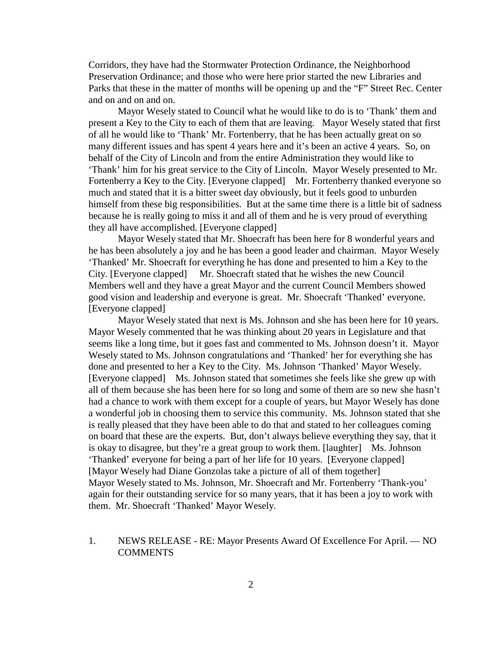Corridors, they have had the Stormwater Protection Ordinance, the Neighborhood Preservation Ordinance; and those who were here prior started the new Libraries and Parks that these in the matter of months will be opening up and the "F" Street Rec. Center and on and on and on.

Mayor Wesely stated to Council what he would like to do is to 'Thank' them and present a Key to the City to each of them that are leaving. Mayor Wesely stated that first of all he would like to 'Thank' Mr. Fortenberry, that he has been actually great on so many different issues and has spent 4 years here and it's been an active 4 years. So, on behalf of the City of Lincoln and from the entire Administration they would like to 'Thank' him for his great service to the City of Lincoln. Mayor Wesely presented to Mr. Fortenberry a Key to the City. [Everyone clapped] Mr. Fortenberry thanked everyone so much and stated that it is a bitter sweet day obviously, but it feels good to unburden himself from these big responsibilities. But at the same time there is a little bit of sadness because he is really going to miss it and all of them and he is very proud of everything they all have accomplished. [Everyone clapped]

Mayor Wesely stated that Mr. Shoecraft has been here for 8 wonderful years and he has been absolutely a joy and he has been a good leader and chairman. Mayor Wesely 'Thanked' Mr. Shoecraft for everything he has done and presented to him a Key to the City. [Everyone clapped] Mr. Shoecraft stated that he wishes the new Council Members well and they have a great Mayor and the current Council Members showed good vision and leadership and everyone is great. Mr. Shoecraft 'Thanked' everyone. [Everyone clapped]

Mayor Wesely stated that next is Ms. Johnson and she has been here for 10 years. Mayor Wesely commented that he was thinking about 20 years in Legislature and that seems like a long time, but it goes fast and commented to Ms. Johnson doesn't it. Mayor Wesely stated to Ms. Johnson congratulations and 'Thanked' her for everything she has done and presented to her a Key to the City. Ms. Johnson 'Thanked' Mayor Wesely. [Everyone clapped] Ms. Johnson stated that sometimes she feels like she grew up with all of them because she has been here for so long and some of them are so new she hasn't had a chance to work with them except for a couple of years, but Mayor Wesely has done a wonderful job in choosing them to service this community. Ms. Johnson stated that she is really pleased that they have been able to do that and stated to her colleagues coming on board that these are the experts. But, don't always believe everything they say, that it is okay to disagree, but they're a great group to work them. [laughter] Ms. Johnson 'Thanked' everyone for being a part of her life for 10 years. [Everyone clapped] [Mayor Wesely had Diane Gonzolas take a picture of all of them together] Mayor Wesely stated to Ms. Johnson, Mr. Shoecraft and Mr. Fortenberry 'Thank-you' again for their outstanding service for so many years, that it has been a joy to work with them. Mr. Shoecraft 'Thanked' Mayor Wesely.

1. NEWS RELEASE - RE: Mayor Presents Award Of Excellence For April. — NO **COMMENTS**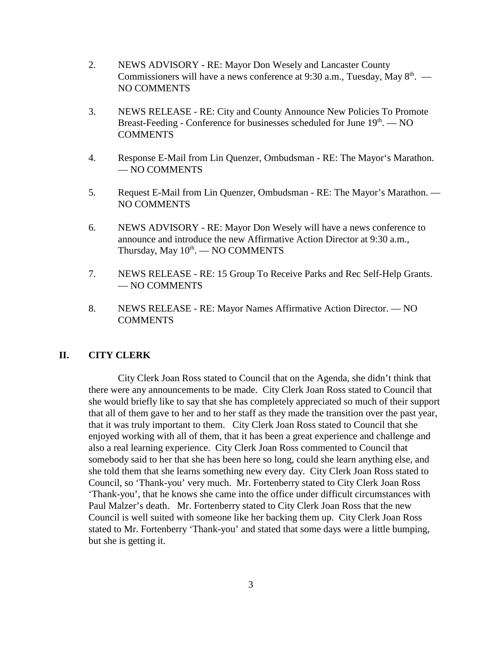- 2. NEWS ADVISORY RE: Mayor Don Wesely and Lancaster County Commissioners will have a news conference at 9:30 a.m., Tuesday, May  $8<sup>th</sup>$ . — NO COMMENTS
- 3. NEWS RELEASE RE: City and County Announce New Policies To Promote Breast-Feeding - Conference for businesses scheduled for June  $19<sup>th</sup>$ .  $-$  NO **COMMENTS**
- 4. Response E-Mail from Lin Quenzer, Ombudsman RE: The Mayor's Marathon. — NO COMMENTS
- 5. Request E-Mail from Lin Quenzer, Ombudsman RE: The Mayor's Marathon. NO COMMENTS
- 6. NEWS ADVISORY RE: Mayor Don Wesely will have a news conference to announce and introduce the new Affirmative Action Director at 9:30 a.m., Thursday, May  $10^{th}$ . — NO COMMENTS
- 7. NEWS RELEASE RE: 15 Group To Receive Parks and Rec Self-Help Grants. — NO COMMENTS
- 8. NEWS RELEASE RE: Mayor Names Affirmative Action Director. NO **COMMENTS**

### **II. CITY CLERK**

City Clerk Joan Ross stated to Council that on the Agenda, she didn't think that there were any announcements to be made. City Clerk Joan Ross stated to Council that she would briefly like to say that she has completely appreciated so much of their support that all of them gave to her and to her staff as they made the transition over the past year, that it was truly important to them. City Clerk Joan Ross stated to Council that she enjoyed working with all of them, that it has been a great experience and challenge and also a real learning experience. City Clerk Joan Ross commented to Council that somebody said to her that she has been here so long, could she learn anything else, and she told them that she learns something new every day. City Clerk Joan Ross stated to Council, so 'Thank-you' very much. Mr. Fortenberry stated to City Clerk Joan Ross 'Thank-you', that he knows she came into the office under difficult circumstances with Paul Malzer's death. Mr. Fortenberry stated to City Clerk Joan Ross that the new Council is well suited with someone like her backing them up. City Clerk Joan Ross stated to Mr. Fortenberry 'Thank-you' and stated that some days were a little bumping, but she is getting it.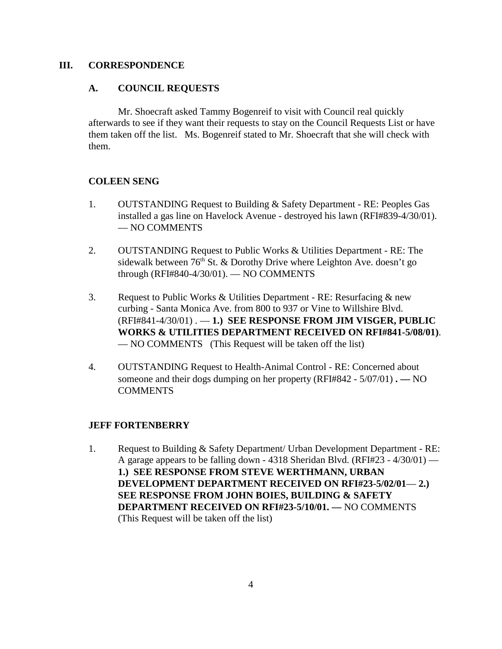### **III. CORRESPONDENCE**

### **A. COUNCIL REQUESTS**

Mr. Shoecraft asked Tammy Bogenreif to visit with Council real quickly afterwards to see if they want their requests to stay on the Council Requests List or have them taken off the list. Ms. Bogenreif stated to Mr. Shoecraft that she will check with them.

### **COLEEN SENG**

- 1. OUTSTANDING Request to Building & Safety Department RE: Peoples Gas installed a gas line on Havelock Avenue - destroyed his lawn (RFI#839-4/30/01). — NO COMMENTS
- 2. OUTSTANDING Request to Public Works & Utilities Department RE: The sidewalk between  $76<sup>th</sup>$  St. & Dorothy Drive where Leighton Ave. doesn't go through (RFI#840-4/30/01). — NO COMMENTS
- 3. Request to Public Works & Utilities Department RE: Resurfacing & new curbing - Santa Monica Ave. from 800 to 937 or Vine to Willshire Blvd. (RFI#841-4/30/01) . — **1.) SEE RESPONSE FROM JIM VISGER, PUBLIC WORKS & UTILITIES DEPARTMENT RECEIVED ON RFI#841-5/08/01)**. — NO COMMENTS (This Request will be taken off the list)
- 4. OUTSTANDING Request to Health-Animal Control RE: Concerned about someone and their dogs dumping on her property (RFI#842 - 5/07/01) **. —** NO COMMENTS

### **JEFF FORTENBERRY**

1. Request to Building & Safety Department/ Urban Development Department - RE: A garage appears to be falling down - 4318 Sheridan Blvd. (RFI#23 -  $4/30/01$ ) — **1.) SEE RESPONSE FROM STEVE WERTHMANN, URBAN DEVELOPMENT DEPARTMENT RECEIVED ON RFI#23-5/02/01**— **2.) SEE RESPONSE FROM JOHN BOIES, BUILDING & SAFETY DEPARTMENT RECEIVED ON RFI#23-5/10/01. —** NO COMMENTS (This Request will be taken off the list)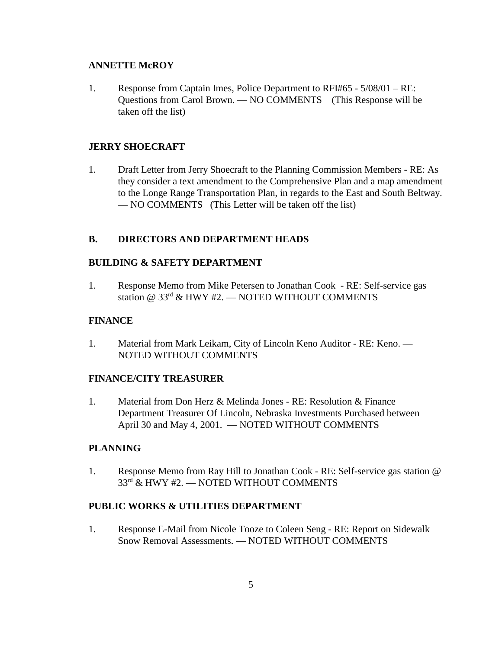### **ANNETTE McROY**

1. Response from Captain Imes, Police Department to RFI#65 - 5/08/01 – RE: Questions from Carol Brown. — NO COMMENTS (This Response will be taken off the list)

### **JERRY SHOECRAFT**

1. Draft Letter from Jerry Shoecraft to the Planning Commission Members - RE: As they consider a text amendment to the Comprehensive Plan and a map amendment to the Longe Range Transportation Plan, in regards to the East and South Beltway. — NO COMMENTS (This Letter will be taken off the list)

#### **B. DIRECTORS AND DEPARTMENT HEADS**

#### **BUILDING & SAFETY DEPARTMENT**

1. Response Memo from Mike Petersen to Jonathan Cook - RE: Self-service gas station @ 33<sup>rd</sup> & HWY #2. — NOTED WITHOUT COMMENTS

#### **FINANCE**

1. Material from Mark Leikam, City of Lincoln Keno Auditor - RE: Keno. — NOTED WITHOUT COMMENTS

## **FINANCE/CITY TREASURER**

1. Material from Don Herz & Melinda Jones - RE: Resolution & Finance Department Treasurer Of Lincoln, Nebraska Investments Purchased between April 30 and May 4, 2001. — NOTED WITHOUT COMMENTS

#### **PLANNING**

1. Response Memo from Ray Hill to Jonathan Cook - RE: Self-service gas station @ 33<sup>rd</sup> & HWY #2. — NOTED WITHOUT COMMENTS

## **PUBLIC WORKS & UTILITIES DEPARTMENT**

1. Response E-Mail from Nicole Tooze to Coleen Seng - RE: Report on Sidewalk Snow Removal Assessments. — NOTED WITHOUT COMMENTS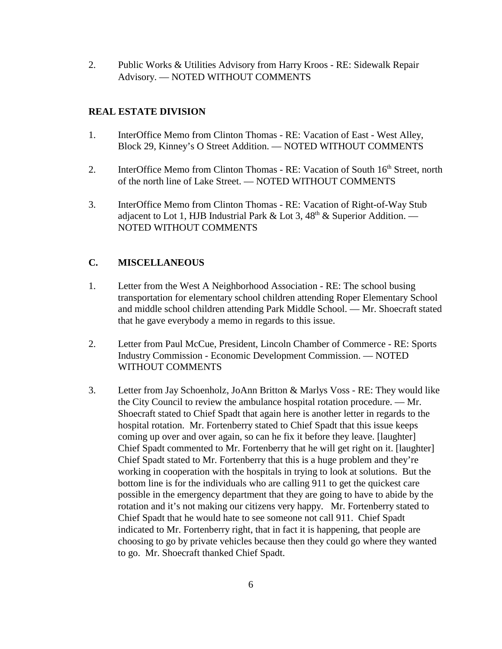2. Public Works & Utilities Advisory from Harry Kroos - RE: Sidewalk Repair Advisory. — NOTED WITHOUT COMMENTS

## **REAL ESTATE DIVISION**

- 1. InterOffice Memo from Clinton Thomas RE: Vacation of East West Alley, Block 29, Kinney's O Street Addition. — NOTED WITHOUT COMMENTS
- 2. InterOffice Memo from Clinton Thomas RE: Vacation of South 16<sup>th</sup> Street, north of the north line of Lake Street. — NOTED WITHOUT COMMENTS
- 3. InterOffice Memo from Clinton Thomas RE: Vacation of Right-of-Way Stub adjacent to Lot 1, HJB Industrial Park & Lot 3,  $48<sup>th</sup>$  & Superior Addition. — NOTED WITHOUT COMMENTS

# **C. MISCELLANEOUS**

- 1. Letter from the West A Neighborhood Association RE: The school busing transportation for elementary school children attending Roper Elementary School and middle school children attending Park Middle School. — Mr. Shoecraft stated that he gave everybody a memo in regards to this issue.
- 2. Letter from Paul McCue, President, Lincoln Chamber of Commerce RE: Sports Industry Commission - Economic Development Commission. — NOTED WITHOUT COMMENTS
- 3. Letter from Jay Schoenholz, JoAnn Britton & Marlys Voss RE: They would like the City Council to review the ambulance hospital rotation procedure. — Mr. Shoecraft stated to Chief Spadt that again here is another letter in regards to the hospital rotation. Mr. Fortenberry stated to Chief Spadt that this issue keeps coming up over and over again, so can he fix it before they leave. [laughter] Chief Spadt commented to Mr. Fortenberry that he will get right on it. [laughter] Chief Spadt stated to Mr. Fortenberry that this is a huge problem and they're working in cooperation with the hospitals in trying to look at solutions. But the bottom line is for the individuals who are calling 911 to get the quickest care possible in the emergency department that they are going to have to abide by the rotation and it's not making our citizens very happy. Mr. Fortenberry stated to Chief Spadt that he would hate to see someone not call 911. Chief Spadt indicated to Mr. Fortenberry right, that in fact it is happening, that people are choosing to go by private vehicles because then they could go where they wanted to go. Mr. Shoecraft thanked Chief Spadt.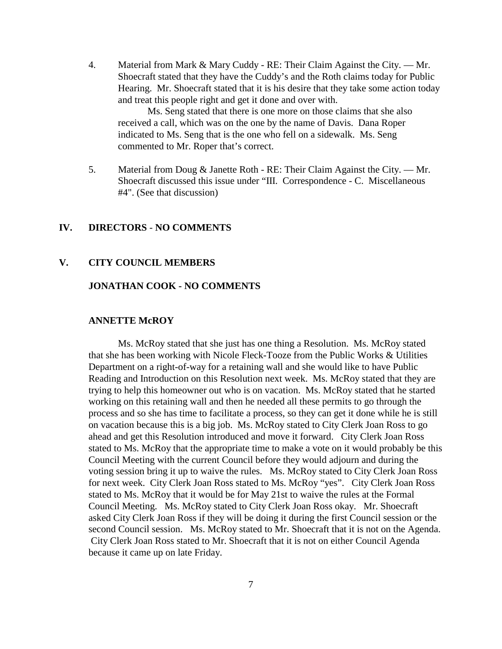4. Material from Mark & Mary Cuddy - RE: Their Claim Against the City. — Mr. Shoecraft stated that they have the Cuddy's and the Roth claims today for Public Hearing. Mr. Shoecraft stated that it is his desire that they take some action today and treat this people right and get it done and over with.

Ms. Seng stated that there is one more on those claims that she also received a call, which was on the one by the name of Davis. Dana Roper indicated to Ms. Seng that is the one who fell on a sidewalk. Ms. Seng commented to Mr. Roper that's correct.

5. Material from Doug & Janette Roth - RE: Their Claim Against the City. — Mr. Shoecraft discussed this issue under "III. Correspondence - C. Miscellaneous #4". (See that discussion)

#### **IV. DIRECTORS** - **NO COMMENTS**

#### **V. CITY COUNCIL MEMBERS**

### **JONATHAN COOK - NO COMMENTS**

#### **ANNETTE McROY**

Ms. McRoy stated that she just has one thing a Resolution. Ms. McRoy stated that she has been working with Nicole Fleck-Tooze from the Public Works & Utilities Department on a right-of-way for a retaining wall and she would like to have Public Reading and Introduction on this Resolution next week. Ms. McRoy stated that they are trying to help this homeowner out who is on vacation. Ms. McRoy stated that he started working on this retaining wall and then he needed all these permits to go through the process and so she has time to facilitate a process, so they can get it done while he is still on vacation because this is a big job. Ms. McRoy stated to City Clerk Joan Ross to go ahead and get this Resolution introduced and move it forward. City Clerk Joan Ross stated to Ms. McRoy that the appropriate time to make a vote on it would probably be this Council Meeting with the current Council before they would adjourn and during the voting session bring it up to waive the rules. Ms. McRoy stated to City Clerk Joan Ross for next week. City Clerk Joan Ross stated to Ms. McRoy "yes". City Clerk Joan Ross stated to Ms. McRoy that it would be for May 21st to waive the rules at the Formal Council Meeting. Ms. McRoy stated to City Clerk Joan Ross okay. Mr. Shoecraft asked City Clerk Joan Ross if they will be doing it during the first Council session or the second Council session. Ms. McRoy stated to Mr. Shoecraft that it is not on the Agenda. City Clerk Joan Ross stated to Mr. Shoecraft that it is not on either Council Agenda because it came up on late Friday.